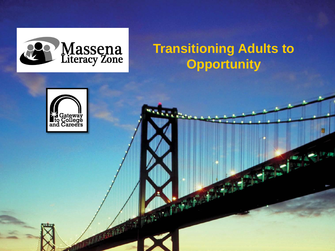

## **Transitioning Adults to Opportunity**

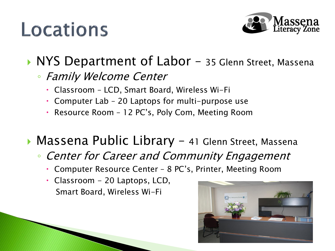# Locations



## ▶ NYS Department of Labor – 35 Glenn Street, Massena

#### ◦ Family Welcome Center

- Classroom LCD, Smart Board, Wireless Wi-Fi
- Computer Lab 20 Laptops for multi-purpose use
- Resource Room 12 PC's, Poly Com, Meeting Room

### ▶ Massena Public Library - 41 Glenn Street, Massena

- Center for Career and Community Engagement
	- Computer Resource Center 8 PC's, Printer, Meeting Room
	- Classroom 20 Laptops, LCD, Smart Board, Wireless Wi-Fi

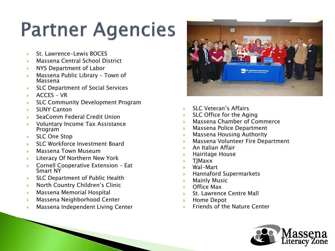# **Partner Agencies**

- St. Lawrence -Lewis BOCES
- Massena Central School District
- NYS Department of Labor
- Massena Public Library Town of Massena
- SLC Department of Social Services
- $ACCFS VR$
- SLC Community Development Program
- ▶ SUNY Canton
- SeaComm Federal Credit Union
- Voluntary Income Tax Assistance Program
- ▶ SLC One Stop
- SLC Workforce Investment Board
- **Massena Town Museum**
- Literacy Of Northern New York
- ▶ Cornell Cooperative Extension Eat Smart NY
- ▶ SLC Department of Public Health
- **North Country Children's Clinic**
- Massena Memorial Hospital
- Massena Neighborhood Center
- Massena Independent Living Center



- SLC Veteran's Affairs
- SLC Office for the Aging
- Massena Chamber of Commerce
- Massena Police Department
- Massena Housing Authority
- Massena Volunteer Fire Department
- An Italian Affair
- Hairitage House
- TJMaxx
- Wal-Mart
- Hannaford Supermarkets
- Mainly Music
- Office Max
- St. Lawrence Centre Mall
- ▶ Home Depot
- Friends of the Nature Center

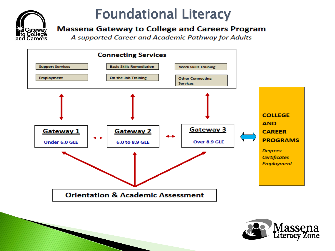

## Foundational Literacy

#### **Massena Gateway to College and Careers Program**

A supported Career and Academic Pathway for Adults



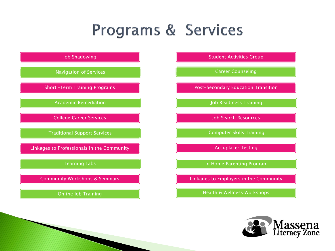## Programs & Services



![](_page_4_Picture_2.jpeg)